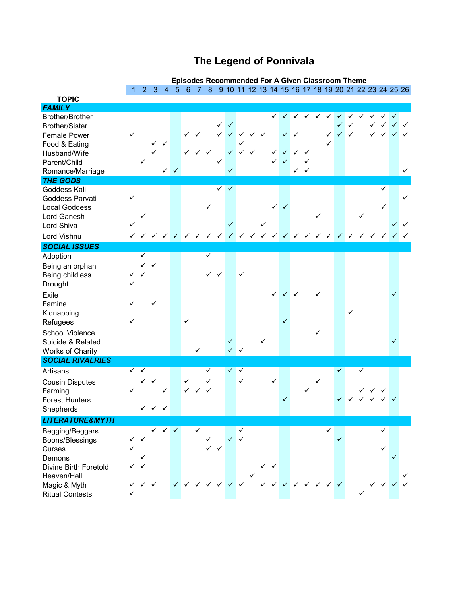## **The Legend of Ponnivala**

|                                   |   | <b>Episodes Recommended For A Given Classroom Theme</b><br>6 7 8 9 10 11 12 13 14 15 16 17 18 19 20 21 22 23 24 25 26 |                             |              |  |                                                     |  |   |   |              |              |  |  |              |   |              |                 |  |   |  |                           |  |   |
|-----------------------------------|---|-----------------------------------------------------------------------------------------------------------------------|-----------------------------|--------------|--|-----------------------------------------------------|--|---|---|--------------|--------------|--|--|--------------|---|--------------|-----------------|--|---|--|---------------------------|--|---|
|                                   |   |                                                                                                                       | $2 \quad 3 \quad 4 \quad 5$ |              |  |                                                     |  |   |   |              |              |  |  |              |   |              |                 |  |   |  |                           |  |   |
| <b>TOPIC</b>                      |   |                                                                                                                       |                             |              |  |                                                     |  |   |   |              |              |  |  |              |   |              |                 |  |   |  |                           |  |   |
| <b>FAMILY</b>                     |   |                                                                                                                       |                             |              |  |                                                     |  |   |   |              |              |  |  |              |   |              |                 |  |   |  |                           |  |   |
| Brother/Brother                   |   |                                                                                                                       |                             |              |  |                                                     |  |   |   |              |              |  |  |              |   |              |                 |  |   |  |                           |  |   |
| Brother/Sister                    |   |                                                                                                                       |                             |              |  |                                                     |  |   | ✓ | $\checkmark$ |              |  |  |              |   |              |                 |  |   |  |                           |  |   |
| <b>Female Power</b>               |   |                                                                                                                       |                             |              |  |                                                     |  |   |   |              |              |  |  |              |   |              |                 |  |   |  |                           |  |   |
| Food & Eating                     |   |                                                                                                                       |                             |              |  |                                                     |  |   |   |              |              |  |  |              |   |              |                 |  |   |  |                           |  |   |
| Husband/Wife                      |   |                                                                                                                       |                             |              |  |                                                     |  |   |   |              |              |  |  |              |   |              |                 |  |   |  |                           |  |   |
| Parent/Child                      |   |                                                                                                                       |                             |              |  |                                                     |  |   |   |              |              |  |  |              |   | $\checkmark$ | ✓               |  |   |  |                           |  |   |
| Romance/Marriage                  |   |                                                                                                                       |                             |              |  |                                                     |  |   |   |              |              |  |  |              |   |              |                 |  |   |  |                           |  |   |
| <b>THE GODS</b><br>Goddess Kali   |   |                                                                                                                       |                             |              |  |                                                     |  |   | ✓ | $\checkmark$ |              |  |  |              |   |              |                 |  |   |  | ✓                         |  |   |
| Goddess Parvati                   | ✓ |                                                                                                                       |                             |              |  |                                                     |  |   |   |              |              |  |  |              |   |              |                 |  |   |  |                           |  | ✓ |
| <b>Local Goddess</b>              |   |                                                                                                                       |                             |              |  |                                                     |  |   |   |              |              |  |  |              |   |              |                 |  |   |  |                           |  |   |
| Lord Ganesh                       |   |                                                                                                                       |                             |              |  |                                                     |  |   |   |              |              |  |  |              |   |              |                 |  |   |  |                           |  |   |
| Lord Shiva                        |   |                                                                                                                       |                             |              |  |                                                     |  |   |   |              |              |  |  |              |   |              |                 |  |   |  |                           |  |   |
| Lord Vishnu                       |   |                                                                                                                       |                             |              |  |                                                     |  |   |   |              |              |  |  |              |   |              |                 |  |   |  |                           |  |   |
| <b>SOCIAL ISSUES</b>              |   |                                                                                                                       |                             |              |  |                                                     |  |   |   |              |              |  |  |              |   |              |                 |  |   |  |                           |  |   |
| Adoption                          |   | ✓                                                                                                                     |                             |              |  |                                                     |  | ✓ |   |              |              |  |  |              |   |              |                 |  |   |  |                           |  |   |
| Being an orphan                   |   | $\checkmark$                                                                                                          | $\checkmark$                |              |  |                                                     |  |   |   |              |              |  |  |              |   |              |                 |  |   |  |                           |  |   |
| Being childless                   |   |                                                                                                                       |                             |              |  |                                                     |  |   |   |              | ✓            |  |  |              |   |              |                 |  |   |  |                           |  |   |
| Drought                           |   |                                                                                                                       |                             |              |  |                                                     |  |   |   |              |              |  |  |              |   |              |                 |  |   |  |                           |  |   |
| Exile                             |   |                                                                                                                       |                             |              |  |                                                     |  |   |   |              |              |  |  | $\checkmark$ | ✓ |              |                 |  |   |  |                           |  |   |
| Famine                            |   |                                                                                                                       |                             |              |  |                                                     |  |   |   |              |              |  |  |              |   |              |                 |  |   |  |                           |  |   |
| Kidnapping                        |   |                                                                                                                       |                             |              |  |                                                     |  |   |   |              |              |  |  |              |   |              |                 |  | ✓ |  |                           |  |   |
| Refugees                          | ✓ |                                                                                                                       |                             |              |  | ✓                                                   |  |   |   |              |              |  |  |              |   |              |                 |  |   |  |                           |  |   |
| School Violence                   |   |                                                                                                                       |                             |              |  |                                                     |  |   |   |              |              |  |  |              |   |              |                 |  |   |  |                           |  |   |
| Suicide & Related                 |   |                                                                                                                       |                             |              |  |                                                     |  |   |   | $\checkmark$ |              |  |  |              |   |              |                 |  |   |  |                           |  |   |
| Works of Charity                  |   |                                                                                                                       |                             |              |  |                                                     |  |   |   |              |              |  |  |              |   |              |                 |  |   |  |                           |  |   |
| <b>SOCIAL RIVALRIES</b>           |   |                                                                                                                       |                             |              |  |                                                     |  |   |   |              |              |  |  |              |   |              |                 |  |   |  |                           |  |   |
| Artisans                          | ✓ |                                                                                                                       |                             |              |  |                                                     |  | ✓ |   |              | $\checkmark$ |  |  |              |   |              |                 |  |   |  |                           |  |   |
|                                   |   |                                                                                                                       |                             |              |  | ✓                                                   |  |   |   |              | ✓            |  |  | ✓            |   |              |                 |  |   |  |                           |  |   |
| <b>Cousin Disputes</b><br>Farming | ✓ |                                                                                                                       |                             |              |  |                                                     |  |   |   |              |              |  |  |              |   |              |                 |  |   |  |                           |  |   |
| <b>Forest Hunters</b>             |   |                                                                                                                       |                             |              |  |                                                     |  |   |   |              |              |  |  |              |   |              |                 |  |   |  |                           |  |   |
| Shepherds                         |   |                                                                                                                       | $\checkmark$ $\checkmark$   | $\checkmark$ |  |                                                     |  |   |   |              |              |  |  |              |   |              |                 |  |   |  |                           |  |   |
| <b>LITERATURE&amp;MYTH</b>        |   |                                                                                                                       |                             |              |  |                                                     |  |   |   |              |              |  |  |              |   |              |                 |  |   |  |                           |  |   |
| Begging/Beggars                   |   |                                                                                                                       |                             |              |  |                                                     |  |   |   |              |              |  |  |              |   |              |                 |  |   |  |                           |  |   |
| Boons/Blessings                   | ✓ |                                                                                                                       |                             |              |  |                                                     |  |   |   |              |              |  |  |              |   |              |                 |  |   |  |                           |  |   |
| Curses                            |   |                                                                                                                       |                             |              |  |                                                     |  |   |   |              |              |  |  |              |   |              |                 |  |   |  |                           |  |   |
| Demons                            |   |                                                                                                                       |                             |              |  |                                                     |  |   |   |              |              |  |  |              |   |              |                 |  |   |  |                           |  |   |
| Divine Birth Foretold             |   |                                                                                                                       |                             |              |  |                                                     |  |   |   |              |              |  |  |              |   |              |                 |  |   |  |                           |  |   |
| Heaven/Hell                       |   |                                                                                                                       |                             |              |  |                                                     |  |   |   |              |              |  |  |              |   |              |                 |  |   |  |                           |  |   |
| Magic & Myth                      |   |                                                                                                                       |                             |              |  | $\checkmark$ $\checkmark$ $\checkmark$ $\checkmark$ |  |   |   |              |              |  |  |              |   |              | v v v v v v v v |  |   |  | $\checkmark$ $\checkmark$ |  |   |
| <b>Ritual Contests</b>            |   |                                                                                                                       |                             |              |  |                                                     |  |   |   |              |              |  |  |              |   |              |                 |  |   |  |                           |  |   |